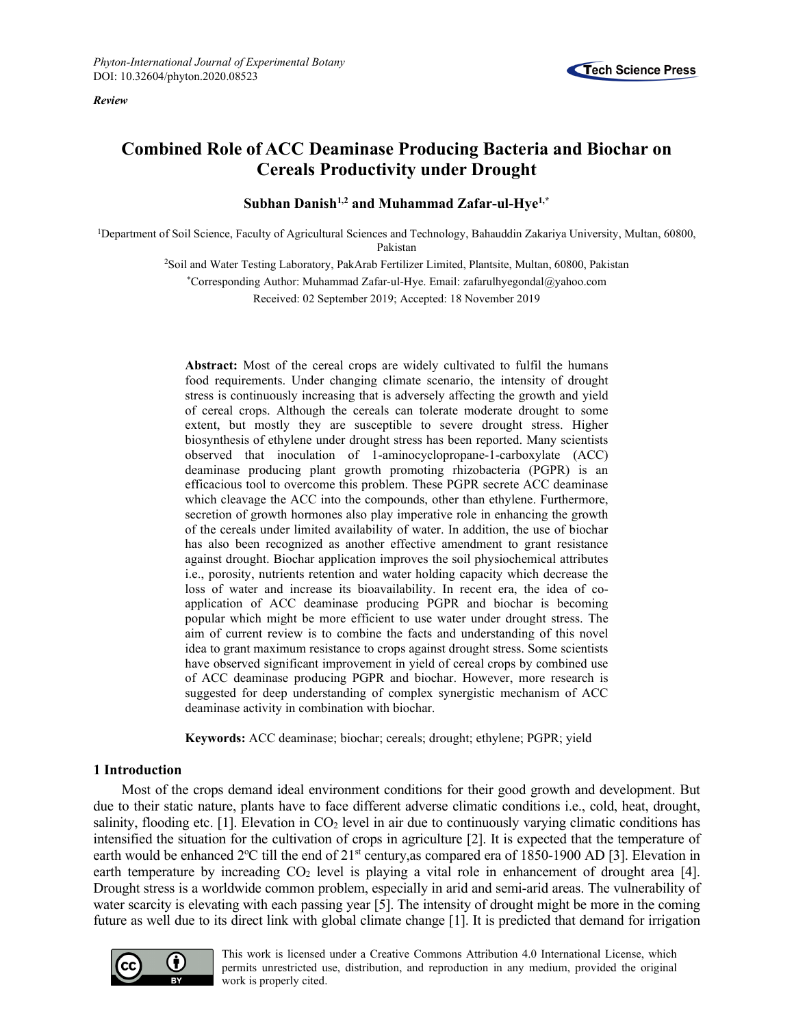*Review*



# **Combined Role of ACC Deaminase Producing Bacteria and Biochar on Cereals Productivity under Drought**

**Subhan Danish1,2 and Muhammad Zafar-ul-Hye1,\***

1Department of Soil Science, Faculty of Agricultural Sciences and Technology, Bahauddin Zakariya University, Multan, 60800, Pakistan

> 2Soil and Water Testing Laboratory, PakArab Fertilizer Limited, Plantsite, Multan, 60800, Pakistan \*Corresponding Author: Muhammad Zafar-ul-Hye. Email: zafarulhyegondal@yahoo.com Received: 02 September 2019; Accepted: 18 November 2019

**Abstract:** Most of the cereal crops are widely cultivated to fulfil the humans food requirements. Under changing climate scenario, the intensity of drought stress is continuously increasing that is adversely affecting the growth and yield of cereal crops. Although the cereals can tolerate moderate drought to some extent, but mostly they are susceptible to severe drought stress. Higher biosynthesis of ethylene under drought stress has been reported. Many scientists observed that inoculation of 1-aminocyclopropane-1-carboxylate (ACC) deaminase producing plant growth promoting rhizobacteria (PGPR) is an efficacious tool to overcome this problem. These PGPR secrete ACC deaminase which cleavage the ACC into the compounds, other than ethylene. Furthermore, secretion of growth hormones also play imperative role in enhancing the growth of the cereals under limited availability of water. In addition, the use of biochar has also been recognized as another effective amendment to grant resistance against drought. Biochar application improves the soil physiochemical attributes i.e., porosity, nutrients retention and water holding capacity which decrease the loss of water and increase its bioavailability. In recent era, the idea of coapplication of ACC deaminase producing PGPR and biochar is becoming popular which might be more efficient to use water under drought stress. The aim of current review is to combine the facts and understanding of this novel idea to grant maximum resistance to crops against drought stress. Some scientists have observed significant improvement in yield of cereal crops by combined use of ACC deaminase producing PGPR and biochar. However, more research is suggested for deep understanding of complex synergistic mechanism of ACC deaminase activity in combination with biochar.

**Keywords:** ACC deaminase; biochar; cereals; drought; ethylene; PGPR; yield

### **1 Introduction**

Most of the crops demand ideal environment conditions for their good growth and development. But due to their static nature, plants have to face different adverse climatic conditions i.e., cold, heat, drought, salinity, flooding etc. [1]. Elevation in CO<sub>2</sub> level in air due to continuously varying climatic conditions has intensified the situation for the cultivation of crops in agriculture [2]. It is expected that the temperature of earth would be enhanced 2°C till the end of 21<sup>st</sup> century, as compared era of 1850-1900 AD [3]. Elevation in earth temperature by increading  $CO<sub>2</sub>$  level is playing a vital role in enhancement of drought area [4]. Drought stress is a worldwide common problem, especially in arid and semi-arid areas. The vulnerability of water scarcity is elevating with each passing year [5]. The intensity of drought might be more in the coming future as well due to its direct link with global climate change [1]. It is predicted that demand for irrigation



This work is licensed under a Creative Commons Attribution 4.0 International License, which permits unrestricted use, distribution, and reproduction in any medium, provided the original work is properly cited.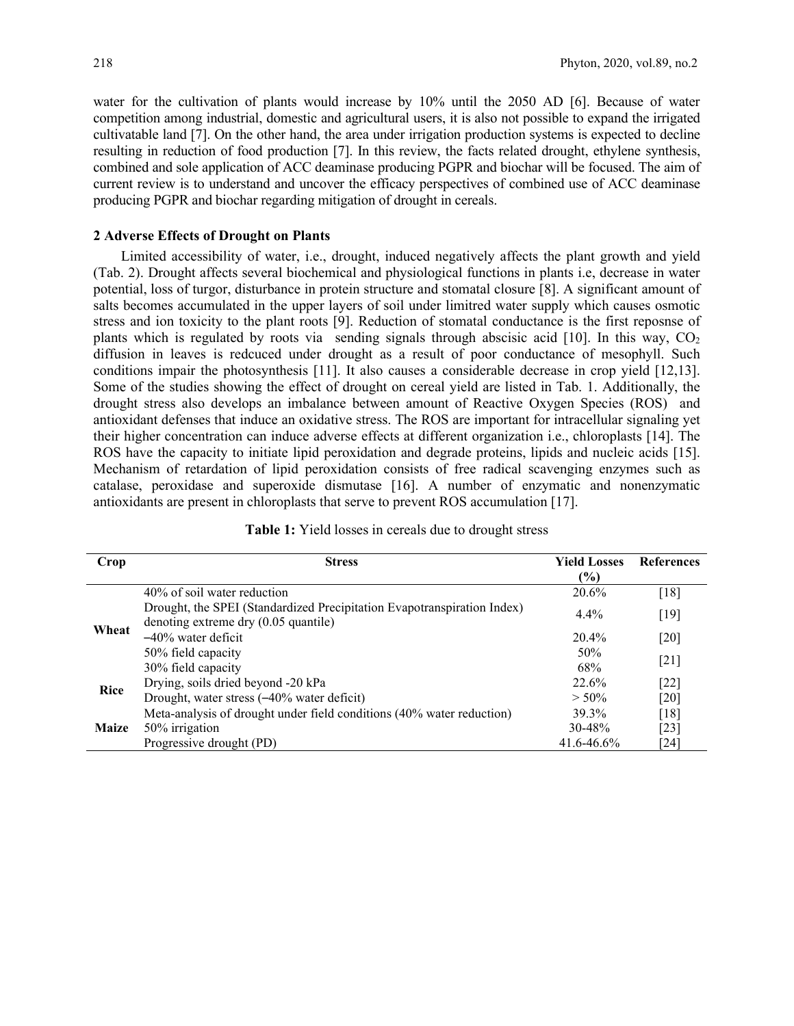water for the cultivation of plants would increase by 10% until the 2050 AD [6]. Because of water competition among industrial, domestic and agricultural users, it is also not possible to expand the irrigated cultivatable land [7]. On the other hand, the area under irrigation production systems is expected to decline resulting in reduction of food production [7]. In this review, the facts related drought, ethylene synthesis, combined and sole application of ACC deaminase producing PGPR and biochar will be focused. The aim of current review is to understand and uncover the efficacy perspectives of combined use of ACC deaminase producing PGPR and biochar regarding mitigation of drought in cereals.

#### **2 Adverse Effects of Drought on Plants**

Limited accessibility of water, i.e., drought, induced negatively affects the plant growth and yield (Tab. 2). Drought affects several biochemical and physiological functions in plants i.e, decrease in water potential, loss of turgor, disturbance in protein structure and stomatal closure [8]. A significant amount of salts becomes accumulated in the upper layers of soil under limitred water supply which causes osmotic stress and ion toxicity to the plant roots [9]. Reduction of stomatal conductance is the first reposnse of plants which is regulated by roots via sending signals through abscisic acid [10]. In this way,  $CO<sub>2</sub>$ diffusion in leaves is redcuced under drought as a result of poor conductance of mesophyll. Such conditions impair the photosynthesis [11]. It also causes a considerable decrease in crop yield [12,13]. Some of the studies showing the effect of drought on cereal yield are listed in Tab. 1. Additionally, the drought stress also develops an imbalance between amount of Reactive Oxygen Species (ROS) and antioxidant defenses that induce an oxidative stress. The ROS are important for intracellular signaling yet their higher concentration can induce adverse effects at different organization i.e., chloroplasts [14]. The ROS have the capacity to initiate lipid peroxidation and degrade proteins, lipids and nucleic acids [15]. Mechanism of retardation of lipid peroxidation consists of free radical scavenging enzymes such as catalase, peroxidase and superoxide dismutase [16]. A number of enzymatic and nonenzymatic antioxidants are present in chloroplasts that serve to prevent ROS accumulation [17].

| Crop         | <b>Stress</b>                                                                                                   | <b>Yield Losses</b><br>$\frac{6}{2}$ | <b>References</b> |  |
|--------------|-----------------------------------------------------------------------------------------------------------------|--------------------------------------|-------------------|--|
| Wheat        | 40% of soil water reduction                                                                                     | 20.6%                                | [18]              |  |
|              | Drought, the SPEI (Standardized Precipitation Evapotranspiration Index)<br>denoting extreme dry (0.05 quantile) | $4.4\%$                              | [19]              |  |
|              | $-40\%$ water deficit                                                                                           | 20.4%                                | [20]              |  |
|              | 50% field capacity                                                                                              | 50%                                  |                   |  |
|              | 30% field capacity                                                                                              | 68%                                  | $[21]$            |  |
| Rice         | Drying, soils dried beyond -20 kPa                                                                              | 22.6%                                | $[22]$            |  |
|              | Drought, water stress (-40% water deficit)                                                                      | $> 50\%$                             | [20]              |  |
| <b>Maize</b> | Meta-analysis of drought under field conditions (40% water reduction)                                           | 39.3%                                | [18]              |  |
|              | 50% irrigation                                                                                                  | 30-48%                               | $[23]$            |  |
|              | Progressive drought (PD)                                                                                        | $41.6 - 46.6%$                       | [24]              |  |

#### **Table 1:** Yield losses in cereals due to drought stress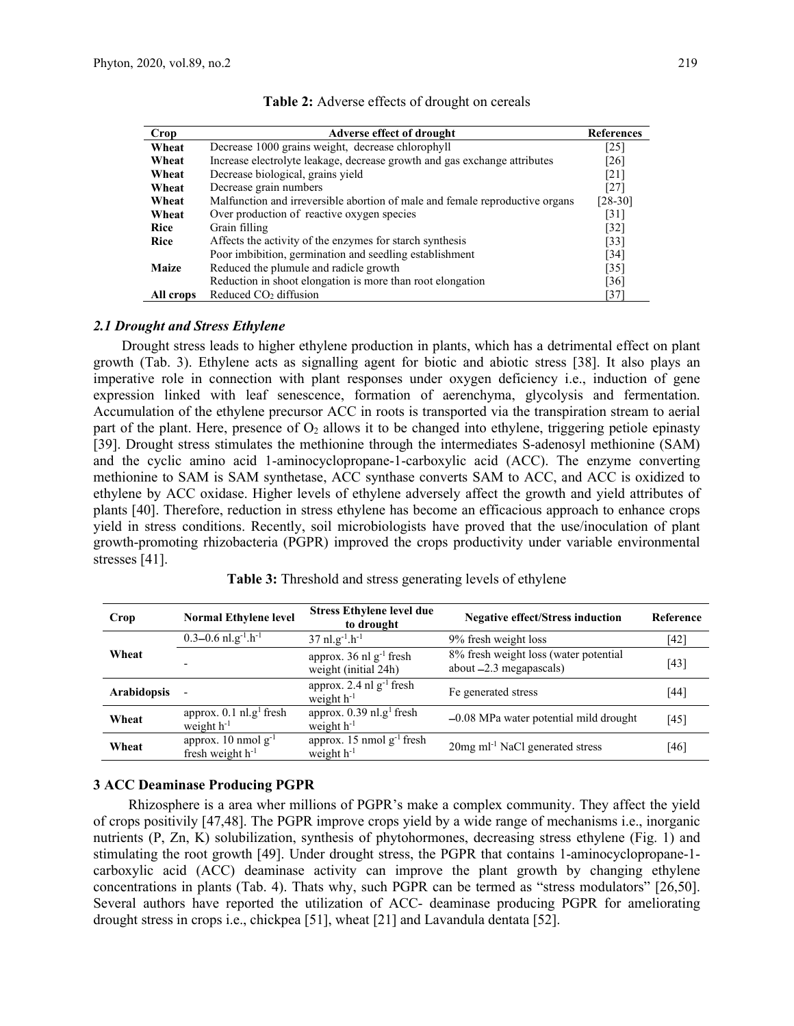| Crop         | Adverse effect of drought                                                    | <b>References</b>  |
|--------------|------------------------------------------------------------------------------|--------------------|
| Wheat        | Decrease 1000 grains weight, decrease chlorophyll                            | [25]               |
| Wheat        | Increase electrolyte leakage, decrease growth and gas exchange attributes    | [26]               |
| Wheat        | Decrease biological, grains yield                                            | $\lceil 21 \rceil$ |
| Wheat        | Decrease grain numbers                                                       | $[27]$             |
| Wheat        | Malfunction and irreversible abortion of male and female reproductive organs | $[28-30]$          |
| Wheat        | Over production of reactive oxygen species                                   | $\lceil 31 \rceil$ |
| <b>Rice</b>  | Grain filling                                                                | $[32]$             |
| <b>Rice</b>  | Affects the activity of the enzymes for starch synthesis                     | $\lceil 33 \rceil$ |
|              | Poor imbibition, germination and seedling establishment                      | $[34]$             |
| <b>Maize</b> | Reduced the plumule and radicle growth                                       | $[35]$             |
|              | Reduction in shoot elongation is more than root elongation                   | [36]               |
| All crops    | Reduced $CO2$ diffusion                                                      | [37]               |

#### *2.1 Drought and Stress Ethylene*

Drought stress leads to higher ethylene production in plants, which has a detrimental effect on plant growth (Tab. 3). Ethylene acts as signalling agent for biotic and abiotic stress [38]. It also plays an imperative role in connection with plant responses under oxygen deficiency i.e., induction of gene expression linked with leaf senescence, formation of aerenchyma, glycolysis and fermentation. Accumulation of the ethylene precursor ACC in roots is transported via the transpiration stream to aerial part of the plant. Here, presence of  $O_2$  allows it to be changed into ethylene, triggering petiole epinasty [39]. Drought stress stimulates the methionine through the intermediates S-adenosyl methionine (SAM) and the cyclic amino acid 1-aminocyclopropane-1-carboxylic acid (ACC). The enzyme converting methionine to SAM is SAM synthetase, ACC synthase converts SAM to ACC, and ACC is oxidized to ethylene by ACC oxidase. Higher levels of ethylene adversely affect the growth and yield attributes of plants [40]. Therefore, reduction in stress ethylene has become an efficacious approach to enhance crops yield in stress conditions. Recently, soil microbiologists have proved that the use/inoculation of plant growth-promoting rhizobacteria (PGPR) improved the crops productivity under variable environmental stresses [41].

| Crop               | <b>Normal Ethylene level</b>                             | <b>Stress Ethylene level due</b><br>to drought              | <b>Negative effect/Stress induction</b>                            | Reference |
|--------------------|----------------------------------------------------------|-------------------------------------------------------------|--------------------------------------------------------------------|-----------|
| Wheat              | $0.3 - 0.6$ nl.g <sup>-1</sup> .h <sup>-1</sup>          | $37$ nl.g <sup>-1</sup> .h <sup>-1</sup>                    | 9% fresh weight loss                                               | $[42]$    |
|                    | $\overline{\phantom{0}}$                                 | approx. 36 nl g <sup>-1</sup> fresh<br>weight (initial 24h) | 8% fresh weight loss (water potential<br>about $-2.3$ megapascals) | [43]      |
| <b>Arabidopsis</b> |                                                          | approx. 2.4 nl $g^{-1}$ fresh<br>weight $h^{-1}$            | Fe generated stress                                                | [44]      |
| Wheat              | approx. $0.1$ nl.g <sup>1</sup> fresh<br>weight $h^{-1}$ | approx. $0.39$ nl.g <sup>1</sup> fresh<br>weight $h^{-1}$   | $-0.08$ MPa water potential mild drought                           | [45]      |
| Wheat              | approx. 10 nmol $g^{-1}$<br>fresh weight $h^{-1}$        | approx. 15 nmol $g^{-1}$ fresh<br>weight $h^{-1}$           | 20mg ml <sup>-1</sup> NaCl generated stress                        | [46]      |

**Table 3:** Threshold and stress generating levels of ethylene

## **3 ACC Deaminase Producing PGPR**

Rhizosphere is a area wher millions of PGPR's make a complex community. They affect the yield of crops positivily [47,48]. The PGPR improve crops yield by a wide range of mechanisms i.e., inorganic nutrients (P, Zn, K) solubilization, synthesis of phytohormones, decreasing stress ethylene (Fig. 1) and stimulating the root growth [49]. Under drought stress, the PGPR that contains 1-aminocyclopropane-1 carboxylic acid (ACC) deaminase activity can improve the plant growth by changing ethylene concentrations in plants (Tab. 4). Thats why, such PGPR can be termed as "stress modulators" [26,50]. Several authors have reported the utilization of ACC- deaminase producing PGPR for ameliorating drought stress in crops i.e., chickpea [51], wheat [21] and Lavandula dentata [52].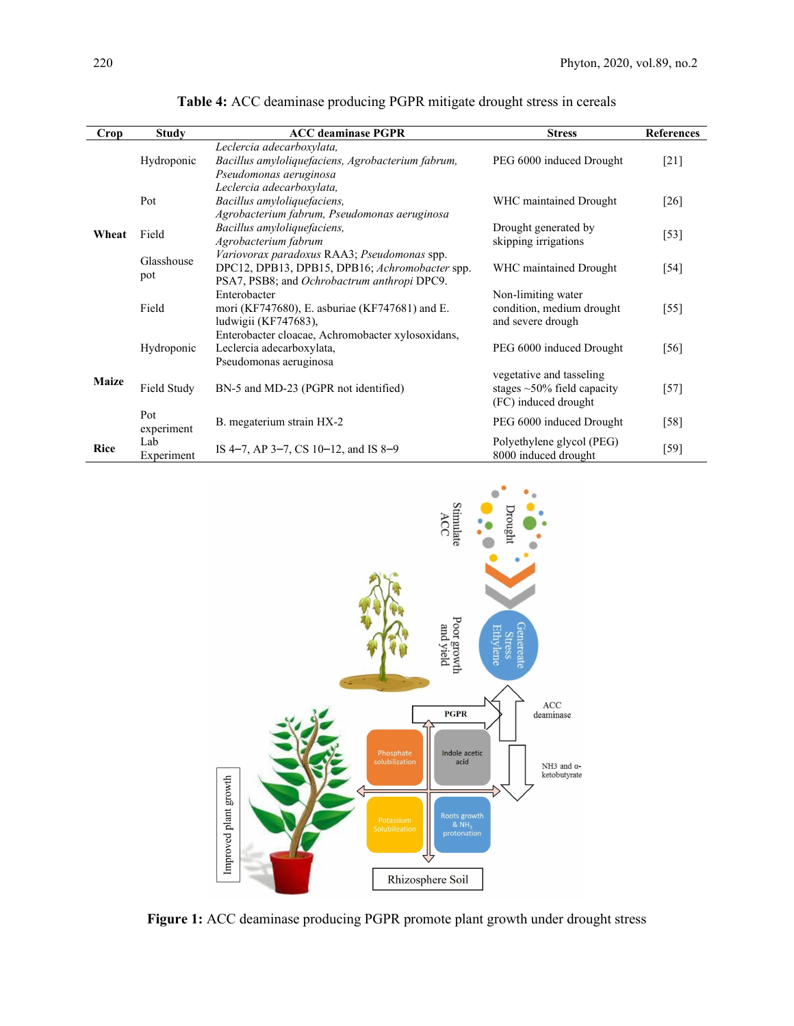| <b>Crop</b>  | <b>Study</b>      | <b>ACC</b> deaminase PGPR                                                                                                                    | <b>Stress</b>                                                                        | <b>References</b> |
|--------------|-------------------|----------------------------------------------------------------------------------------------------------------------------------------------|--------------------------------------------------------------------------------------|-------------------|
| Wheat        | Hydroponic        | Leclercia adecarboxylata,<br>Bacillus amyloliquefaciens, Agrobacterium fabrum,<br>Pseudomonas aeruginosa                                     | PEG 6000 induced Drought                                                             | $[21]$            |
|              | Pot               | Leclercia adecarboxylata,<br>Bacillus amyloliquefaciens,<br>Agrobacterium fabrum, Pseudomonas aeruginosa                                     | WHC maintained Drought                                                               | [26]              |
|              | Field             | Bacillus amyloliquefaciens,<br>Agrobacterium fabrum                                                                                          | Drought generated by<br>skipping irrigations                                         | $[53]$            |
|              | Glasshouse<br>pot | Variovorax paradoxus RAA3; Pseudomonas spp.<br>DPC12, DPB13, DPB15, DPB16; Achromobacter spp.<br>PSA7, PSB8; and Ochrobactrum anthropi DPC9. | WHC maintained Drought                                                               | [54]              |
|              | Field             | Enterobacter<br>mori (KF747680), E. asburiae (KF747681) and E.<br>ludwigii (KF747683),                                                       | Non-limiting water<br>condition, medium drought<br>and severe drough                 | [55]              |
| <b>Maize</b> | Hydroponic        | Enterobacter cloacae, Achromobacter xylosoxidans,<br>Leclercia adecarboxylata,<br>Pseudomonas aeruginosa                                     | PEG 6000 induced Drought                                                             | [56]              |
|              | Field Study       | BN-5 and MD-23 (PGPR not identified)                                                                                                         | vegetative and tasseling<br>stages $\sim$ 50% field capacity<br>(FC) induced drought | $[57]$            |
|              | Pot<br>experiment | B. megaterium strain HX-2                                                                                                                    | PEG 6000 induced Drought                                                             | $[58]$            |
| <b>Rice</b>  | Lab<br>Experiment | IS 4-7, AP 3-7, CS 10-12, and IS 8-9                                                                                                         | Polyethylene glycol (PEG)<br>8000 induced drought                                    | $[59]$            |

**Table 4:** ACC deaminase producing PGPR mitigate drought stress in cereals



**Figure 1:** ACC deaminase producing PGPR promote plant growth under drought stress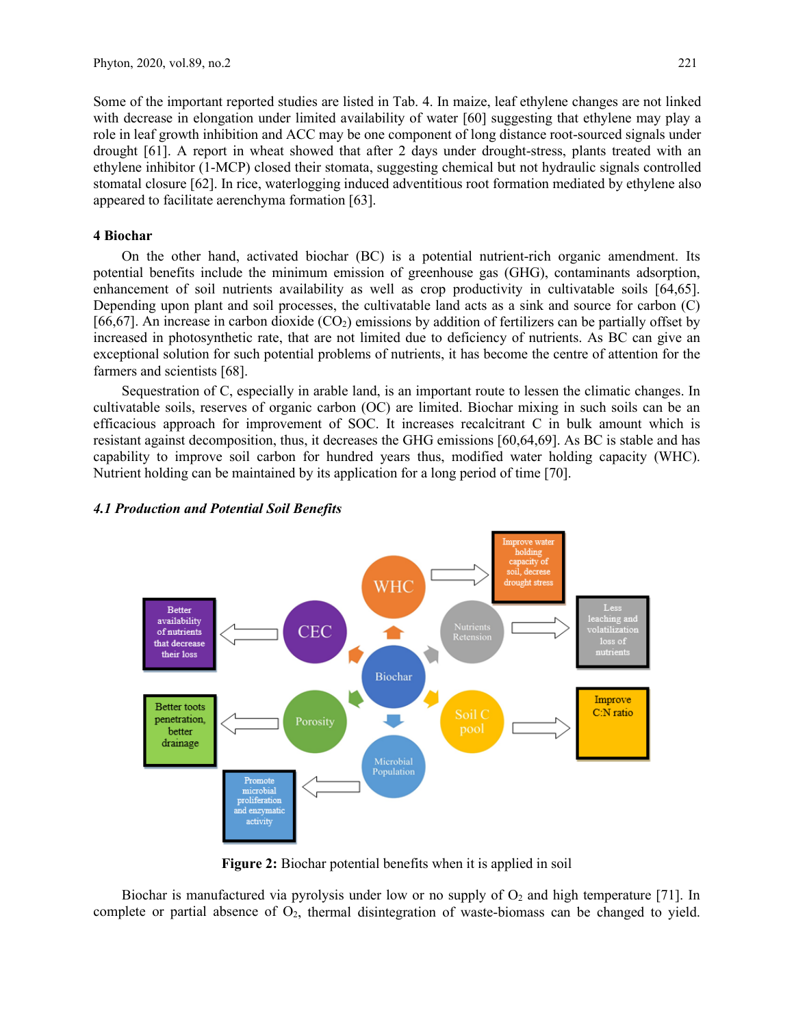Some of the important reported studies are listed in Tab. 4. In maize, leaf ethylene changes are not linked with decrease in elongation under limited availability of water [60] suggesting that ethylene may play a role in leaf growth inhibition and ACC may be one component of long distance root-sourced signals under drought [61]. A report in wheat showed that after 2 days under drought-stress, plants treated with an ethylene inhibitor (1-MCP) closed their stomata, suggesting chemical but not hydraulic signals controlled stomatal closure [62]. In rice, waterlogging induced adventitious root formation mediated by ethylene also appeared to facilitate aerenchyma formation [63].

## **4 Biochar**

On the other hand, activated biochar (BC) is a potential nutrient-rich organic amendment. Its potential benefits include the minimum emission of greenhouse gas (GHG), contaminants adsorption, enhancement of soil nutrients availability as well as crop productivity in cultivatable soils [64,65]. Depending upon plant and soil processes, the cultivatable land acts as a sink and source for carbon (C) [66,67]. An increase in carbon dioxide  $(CO<sub>2</sub>)$  emissions by addition of fertilizers can be partially offset by increased in photosynthetic rate, that are not limited due to deficiency of nutrients. As BC can give an exceptional solution for such potential problems of nutrients, it has become the centre of attention for the farmers and scientists [68].

Sequestration of C, especially in arable land, is an important route to lessen the climatic changes. In cultivatable soils, reserves of organic carbon (OC) are limited. Biochar mixing in such soils can be an efficacious approach for improvement of SOC. It increases recalcitrant C in bulk amount which is resistant against decomposition, thus, it decreases the GHG emissions [60,64,69]. As BC is stable and has capability to improve soil carbon for hundred years thus, modified water holding capacity (WHC). Nutrient holding can be maintained by its application for a long period of time [70].



# *4.1 Production and Potential Soil Benefits*

**Figure 2:** Biochar potential benefits when it is applied in soil

Biochar is manufactured via pyrolysis under low or no supply of  $O_2$  and high temperature [71]. In complete or partial absence of  $O_2$ , thermal disintegration of waste-biomass can be changed to yield.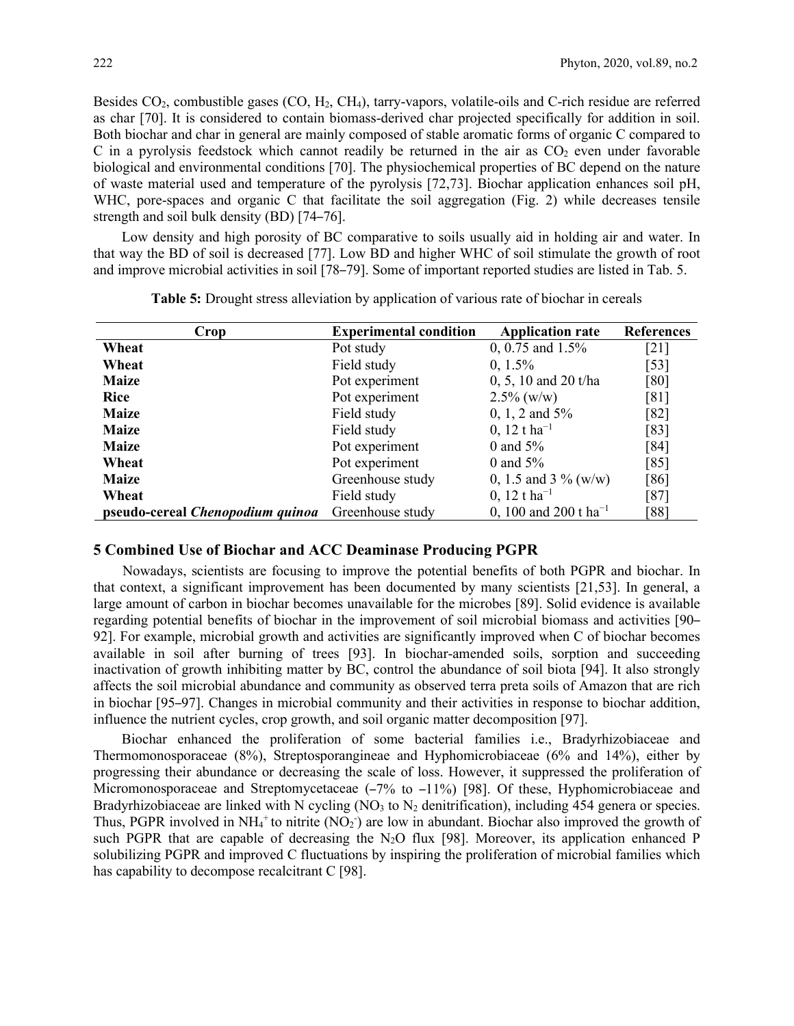Besides  $CO_2$ , combustible gases  $(CO, H_2, CH_4)$ , tarry-vapors, volatile-oils and C-rich residue are referred as char [70]. It is considered to contain biomass-derived char projected specifically for addition in soil. Both biochar and char in general are mainly composed of stable aromatic forms of organic C compared to C in a pyrolysis feedstock which cannot readily be returned in the air as  $CO<sub>2</sub>$  even under favorable biological and environmental conditions [70]. The physiochemical properties of BC depend on the nature of waste material used and temperature of the pyrolysis [72,73]. Biochar application enhances soil pH, WHC, pore-spaces and organic C that facilitate the soil aggregation (Fig. 2) while decreases tensile strength and soil bulk density (BD) [74–76].

Low density and high porosity of BC comparative to soils usually aid in holding air and water. In that way the BD of soil is decreased [77]. Low BD and higher WHC of soil stimulate the growth of root and improve microbial activities in soil [78–79]. Some of important reported studies are listed in Tab. 5.

| Crop                                    | <b>Experimental condition</b> | <b>Application rate</b>           | <b>References</b>  |  |
|-----------------------------------------|-------------------------------|-----------------------------------|--------------------|--|
| Wheat                                   | Pot study                     | 0, 0.75 and $1.5\%$               | $\lceil 21 \rceil$ |  |
| Wheat                                   | Field study                   | $0, 1.5\%$                        | $[53]$             |  |
| <b>Maize</b>                            | Pot experiment                | 0, 5, 10 and 20 t/ha              | [80]               |  |
| <b>Rice</b>                             | Pot experiment                | $2.5\%$ (w/w)                     | [81]               |  |
| <b>Maize</b>                            | Field study                   | 0, 1, 2 and $5\%$                 | [82]               |  |
| <b>Maize</b>                            | Field study                   | 0, 12 t ha <sup>-1</sup>          | [83]               |  |
| <b>Maize</b>                            | Pot experiment                | 0 and $5\%$                       | [84]               |  |
| Wheat                                   | Pot experiment                | 0 and $5\%$                       | [85]               |  |
| <b>Maize</b>                            | Greenhouse study              | 0, 1.5 and 3 $\%$ (w/w)           | [86]               |  |
| Wheat                                   | Field study                   | 0, 12 t ha <sup>-1</sup>          | $[87]$             |  |
| pseudo-cereal <i>Chenopodium quinoa</i> | Greenhouse study              | 0, 100 and 200 t ha <sup>-1</sup> | [88]               |  |

| Table 5: Drought stress alleviation by application of various rate of biochar in cereals |  |  |  |  |
|------------------------------------------------------------------------------------------|--|--|--|--|
|                                                                                          |  |  |  |  |

## **5 Combined Use of Biochar and ACC Deaminase Producing PGPR**

Nowadays, scientists are focusing to improve the potential benefits of both PGPR and biochar. In that context, a significant improvement has been documented by many scientists [21,53]. In general, a large amount of carbon in biochar becomes unavailable for the microbes [89]. Solid evidence is available regarding potential benefits of biochar in the improvement of soil microbial biomass and activities [90– 92]. For example, microbial growth and activities are significantly improved when C of biochar becomes available in soil after burning of trees [93]. In biochar-amended soils, sorption and succeeding inactivation of growth inhibiting matter by BC, control the abundance of soil biota [94]. It also strongly affects the soil microbial abundance and community as observed terra preta soils of Amazon that are rich in biochar [95–97]. Changes in microbial community and their activities in response to biochar addition, influence the nutrient cycles, crop growth, and soil organic matter decomposition [97].

Biochar enhanced the proliferation of some bacterial families i.e., Bradyrhizobiaceae and Thermomonosporaceae (8%), Streptosporangineae and Hyphomicrobiaceae (6% and 14%), either by progressing their abundance or decreasing the scale of loss. However, it suppressed the proliferation of Micromonosporaceae and Streptomycetaceae  $(-7\%$  to  $-11\%)$  [98]. Of these, Hyphomicrobiaceae and Bradyrhizobiaceae are linked with N cycling  $(NO<sub>3</sub> to N<sub>2</sub>$  denitrification), including 454 genera or species. Thus, PGPR involved in  $NH_4^+$  to nitrite (NO<sub>2</sub>) are low in abundant. Biochar also improved the growth of such PGPR that are capable of decreasing the  $N_2O$  flux [98]. Moreover, its application enhanced P solubilizing PGPR and improved C fluctuations by inspiring the proliferation of microbial families which has capability to decompose recalcitrant C [98].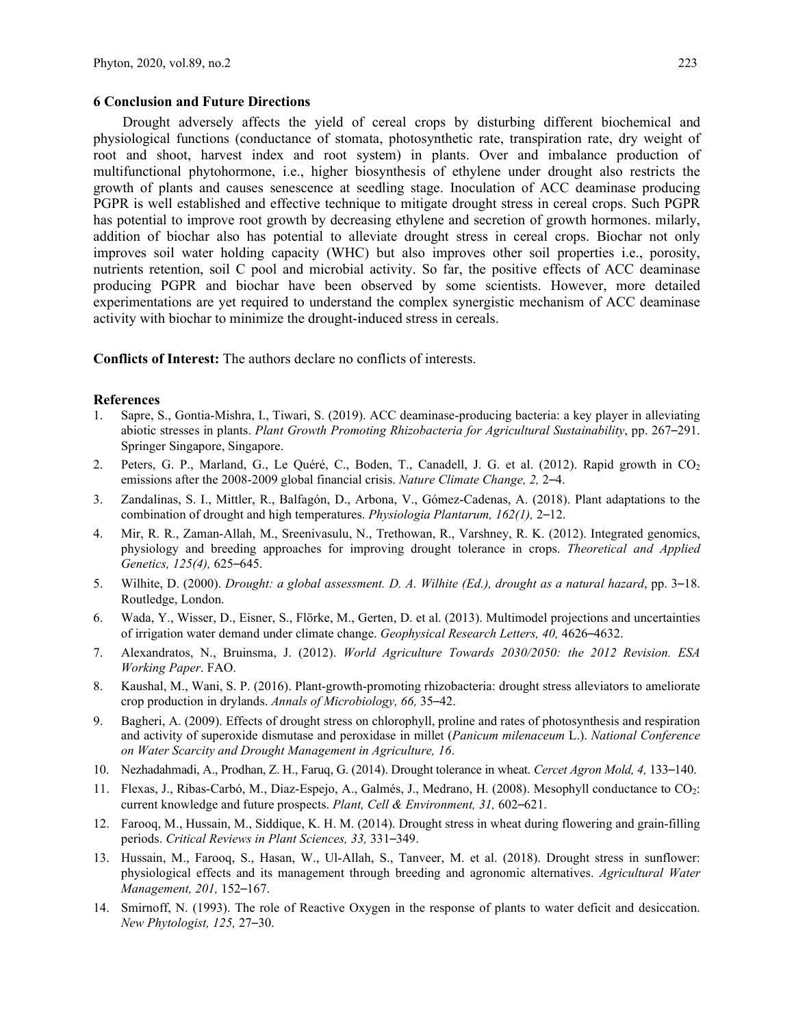#### **6 Conclusion and Future Directions**

Drought adversely affects the yield of cereal crops by disturbing different biochemical and physiological functions (conductance of stomata, photosynthetic rate, transpiration rate, dry weight of root and shoot, harvest index and root system) in plants. Over and imbalance production of multifunctional phytohormone, i.e., higher biosynthesis of ethylene under drought also restricts the growth of plants and causes senescence at seedling stage. Inoculation of ACC deaminase producing PGPR is well established and effective technique to mitigate drought stress in cereal crops. Such PGPR has potential to improve root growth by decreasing ethylene and secretion of growth hormones. milarly, addition of biochar also has potential to alleviate drought stress in cereal crops. Biochar not only improves soil water holding capacity (WHC) but also improves other soil properties i.e., porosity, nutrients retention, soil C pool and microbial activity. So far, the positive effects of ACC deaminase producing PGPR and biochar have been observed by some scientists. However, more detailed experimentations are yet required to understand the complex synergistic mechanism of ACC deaminase activity with biochar to minimize the drought-induced stress in cereals.

**Conflicts of Interest:** The authors declare no conflicts of interests.

#### **References**

- 1. Sapre, S., Gontia-Mishra, I., Tiwari, S. (2019). ACC deaminase-producing bacteria: a key player in alleviating abiotic stresses in plants. *Plant Growth Promoting Rhizobacteria for Agricultural Sustainability*, pp. 267–291. Springer Singapore, Singapore.
- 2. Peters, G. P., Marland, G., Le Quéré, C., Boden, T., Canadell, J. G. et al. (2012). Rapid growth in CO2 emissions after the 2008-2009 global financial crisis. *Nature Climate Change, 2,* 2–4.
- 3. Zandalinas, S. I., Mittler, R., Balfagón, D., Arbona, V., Gómez-Cadenas, A. (2018). Plant adaptations to the combination of drought and high temperatures. *Physiologia Plantarum, 162(1),* 2–12.
- 4. Mir, R. R., Zaman-Allah, M., Sreenivasulu, N., Trethowan, R., Varshney, R. K. (2012). Integrated genomics, physiology and breeding approaches for improving drought tolerance in crops. *Theoretical and Applied Genetics, 125(4),* 625–645.
- 5. Wilhite, D. (2000). *Drought: a global assessment. D. A. Wilhite (Ed.), drought as a natural hazard*, pp. 3–18. Routledge, London.
- 6. Wada, Y., Wisser, D., Eisner, S., Flörke, M., Gerten, D. et al. (2013). Multimodel projections and uncertainties of irrigation water demand under climate change. *Geophysical Research Letters, 40,* 4626–4632.
- 7. Alexandratos, N., Bruinsma, J. (2012). *World Agriculture Towards 2030/2050: the 2012 Revision. ESA Working Paper*. FAO.
- 8. Kaushal, M., Wani, S. P. (2016). Plant-growth-promoting rhizobacteria: drought stress alleviators to ameliorate crop production in drylands. *Annals of Microbiology, 66,* 35–42.
- 9. Bagheri, A. (2009). Effects of drought stress on chlorophyll, proline and rates of photosynthesis and respiration and activity of superoxide dismutase and peroxidase in millet (*Panicum milenaceum* L.). *National Conference on Water Scarcity and Drought Management in Agriculture, 16*.
- 10. Nezhadahmadi, A., Prodhan, Z. H., Faruq, G. (2014). Drought tolerance in wheat. *Cercet Agron Mold, 4,* 133–140.
- 11. Flexas, J., Ribas-Carbó, M., Diaz-Espejo, A., Galmés, J., Medrano, H. (2008). Mesophyll conductance to CO2: current knowledge and future prospects. *Plant, Cell & Environment, 31,* 602–621.
- 12. Farooq, M., Hussain, M., Siddique, K. H. M. (2014). Drought stress in wheat during flowering and grain-filling periods. *Critical Reviews in Plant Sciences, 33,* 331–349.
- 13. Hussain, M., Farooq, S., Hasan, W., Ul-Allah, S., Tanveer, M. et al. (2018). Drought stress in sunflower: physiological effects and its management through breeding and agronomic alternatives. *Agricultural Water Management, 201,* 152–167.
- 14. Smirnoff, N. (1993). The role of Reactive Oxygen in the response of plants to water deficit and desiccation. *New Phytologist, 125,* 27–30.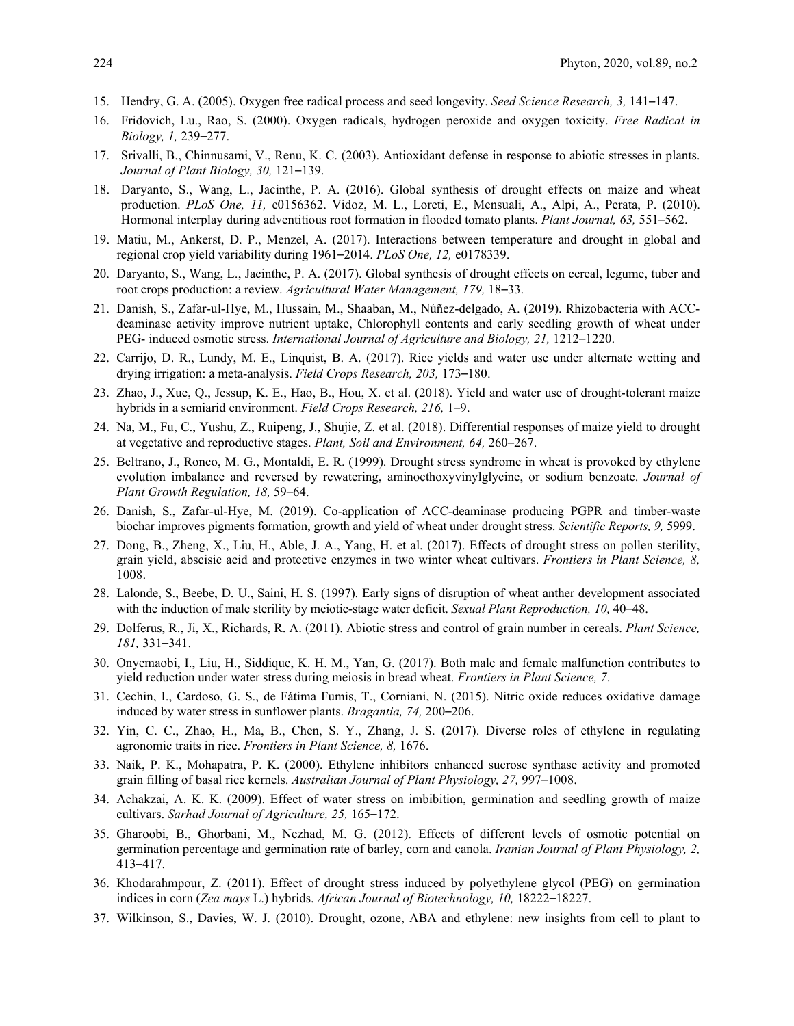- 15. Hendry, G. A. (2005). Oxygen free radical process and seed longevity. *Seed Science Research, 3,* 141–147.
- 16. Fridovich, Lu., Rao, S. (2000). Oxygen radicals, hydrogen peroxide and oxygen toxicity. *Free Radical in Biology, 1,* 239–277.
- 17. Srivalli, B., Chinnusami, V., Renu, K. C. (2003). Antioxidant defense in response to abiotic stresses in plants. *Journal of Plant Biology, 30,* 121–139.
- 18. Daryanto, S., Wang, L., Jacinthe, P. A. (2016). Global synthesis of drought effects on maize and wheat production. *PLoS One, 11,* e0156362. Vidoz, M. L., Loreti, E., Mensuali, A., Alpi, A., Perata, P. (2010). Hormonal interplay during adventitious root formation in flooded tomato plants. *Plant Journal, 63,* 551–562.
- 19. Matiu, M., Ankerst, D. P., Menzel, A. (2017). Interactions between temperature and drought in global and regional crop yield variability during 1961–2014. *PLoS One, 12,* e0178339.
- 20. Daryanto, S., Wang, L., Jacinthe, P. A. (2017). Global synthesis of drought effects on cereal, legume, tuber and root crops production: a review. *Agricultural Water Management, 179,* 18–33.
- 21. Danish, S., Zafar-ul-Hye, M., Hussain, M., Shaaban, M., Núñez-delgado, A. (2019). Rhizobacteria with ACCdeaminase activity improve nutrient uptake, Chlorophyll contents and early seedling growth of wheat under PEG- induced osmotic stress. *International Journal of Agriculture and Biology, 21,* 1212–1220.
- 22. Carrijo, D. R., Lundy, M. E., Linquist, B. A. (2017). Rice yields and water use under alternate wetting and drying irrigation: a meta-analysis. *Field Crops Research, 203,* 173–180.
- 23. Zhao, J., Xue, Q., Jessup, K. E., Hao, B., Hou, X. et al. (2018). Yield and water use of drought-tolerant maize hybrids in a semiarid environment. *Field Crops Research, 216,* 1–9.
- 24. Na, M., Fu, C., Yushu, Z., Ruipeng, J., Shujie, Z. et al. (2018). Differential responses of maize yield to drought at vegetative and reproductive stages. *Plant, Soil and Environment, 64,* 260–267.
- 25. Beltrano, J., Ronco, M. G., Montaldi, E. R. (1999). Drought stress syndrome in wheat is provoked by ethylene evolution imbalance and reversed by rewatering, aminoethoxyvinylglycine, or sodium benzoate. *Journal of Plant Growth Regulation, 18,* 59–64.
- 26. Danish, S., Zafar-ul-Hye, M. (2019). Co-application of ACC-deaminase producing PGPR and timber-waste biochar improves pigments formation, growth and yield of wheat under drought stress. *Scientific Reports, 9,* 5999.
- 27. Dong, B., Zheng, X., Liu, H., Able, J. A., Yang, H. et al. (2017). Effects of drought stress on pollen sterility, grain yield, abscisic acid and protective enzymes in two winter wheat cultivars. *Frontiers in Plant Science, 8,* 1008.
- 28. Lalonde, S., Beebe, D. U., Saini, H. S. (1997). Early signs of disruption of wheat anther development associated with the induction of male sterility by meiotic-stage water deficit. *Sexual Plant Reproduction, 10,* 40–48.
- 29. Dolferus, R., Ji, X., Richards, R. A. (2011). Abiotic stress and control of grain number in cereals. *Plant Science, 181,* 331–341.
- 30. Onyemaobi, I., Liu, H., Siddique, K. H. M., Yan, G. (2017). Both male and female malfunction contributes to yield reduction under water stress during meiosis in bread wheat. *Frontiers in Plant Science, 7*.
- 31. Cechin, I., Cardoso, G. S., de Fátima Fumis, T., Corniani, N. (2015). Nitric oxide reduces oxidative damage induced by water stress in sunflower plants. *Bragantia, 74,* 200–206.
- 32. Yin, C. C., Zhao, H., Ma, B., Chen, S. Y., Zhang, J. S. (2017). Diverse roles of ethylene in regulating agronomic traits in rice. *Frontiers in Plant Science, 8,* 1676.
- 33. Naik, P. K., Mohapatra, P. K. (2000). Ethylene inhibitors enhanced sucrose synthase activity and promoted grain filling of basal rice kernels. *Australian Journal of Plant Physiology, 27,* 997–1008.
- 34. Achakzai, A. K. K. (2009). Effect of water stress on imbibition, germination and seedling growth of maize cultivars. *Sarhad Journal of Agriculture, 25,* 165–172.
- 35. Gharoobi, B., Ghorbani, M., Nezhad, M. G. (2012). Effects of different levels of osmotic potential on germination percentage and germination rate of barley, corn and canola. *Iranian Journal of Plant Physiology, 2,* 413–417.
- 36. Khodarahmpour, Z. (2011). Effect of drought stress induced by polyethylene glycol (PEG) on germination indices in corn (*Zea mays* L.) hybrids. *African Journal of Biotechnology, 10,* 18222–18227.
- 37. Wilkinson, S., Davies, W. J. (2010). Drought, ozone, ABA and ethylene: new insights from cell to plant to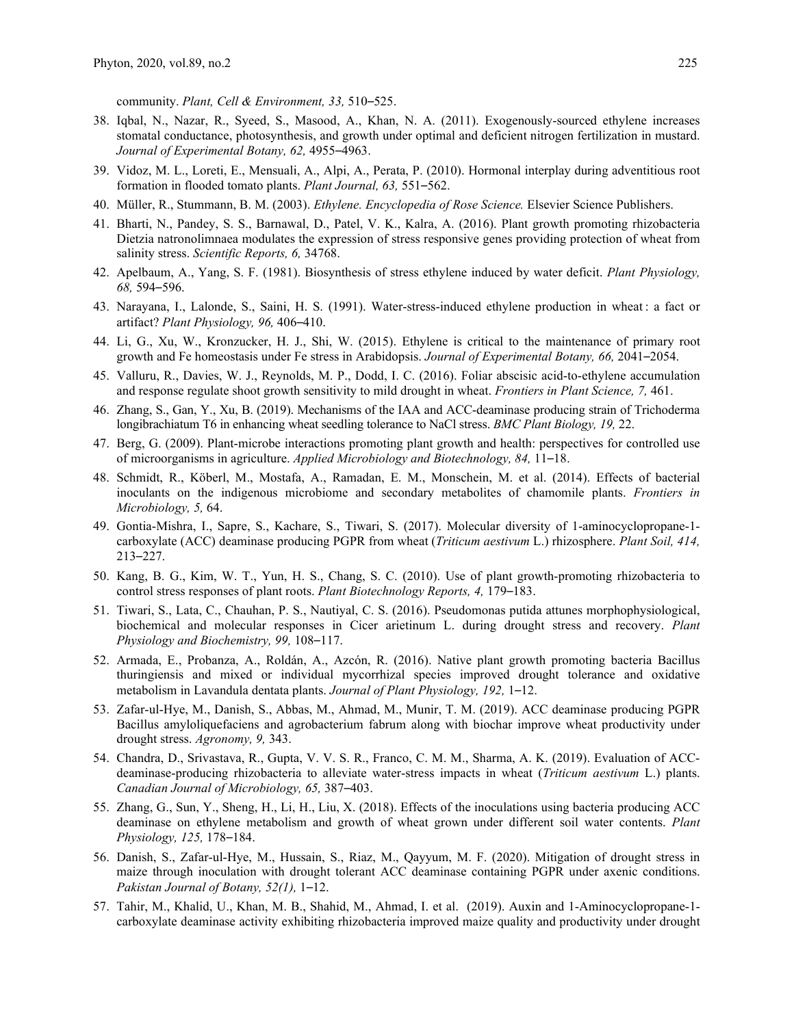community. *Plant, Cell & Environment, 33,* 510–525.

- 38. Iqbal, N., Nazar, R., Syeed, S., Masood, A., Khan, N. A. (2011). Exogenously-sourced ethylene increases stomatal conductance, photosynthesis, and growth under optimal and deficient nitrogen fertilization in mustard. *Journal of Experimental Botany, 62,* 4955–4963.
- 39. Vidoz, M. L., Loreti, E., Mensuali, A., Alpi, A., Perata, P. (2010). Hormonal interplay during adventitious root formation in flooded tomato plants. *Plant Journal, 63,* 551–562.
- 40. Müller, R., Stummann, B. M. (2003). *Ethylene. Encyclopedia of Rose Science.* Elsevier Science Publishers.
- 41. Bharti, N., Pandey, S. S., Barnawal, D., Patel, V. K., Kalra, A. (2016). Plant growth promoting rhizobacteria Dietzia natronolimnaea modulates the expression of stress responsive genes providing protection of wheat from salinity stress. *Scientific Reports, 6,* 34768.
- 42. Apelbaum, A., Yang, S. F. (1981). Biosynthesis of stress ethylene induced by water deficit. *Plant Physiology, 68,* 594–596.
- 43. Narayana, I., Lalonde, S., Saini, H. S. (1991). Water-stress-induced ethylene production in wheat : a fact or artifact? *Plant Physiology, 96,* 406–410.
- 44. Li, G., Xu, W., Kronzucker, H. J., Shi, W. (2015). Ethylene is critical to the maintenance of primary root growth and Fe homeostasis under Fe stress in Arabidopsis. *Journal of Experimental Botany, 66,* 2041–2054.
- 45. Valluru, R., Davies, W. J., Reynolds, M. P., Dodd, I. C. (2016). Foliar abscisic acid-to-ethylene accumulation and response regulate shoot growth sensitivity to mild drought in wheat. *Frontiers in Plant Science, 7,* 461.
- 46. Zhang, S., Gan, Y., Xu, B. (2019). Mechanisms of the IAA and ACC-deaminase producing strain of Trichoderma longibrachiatum T6 in enhancing wheat seedling tolerance to NaCl stress. *BMC Plant Biology, 19,* 22.
- 47. Berg, G. (2009). Plant-microbe interactions promoting plant growth and health: perspectives for controlled use of microorganisms in agriculture. *Applied Microbiology and Biotechnology, 84,* 11–18.
- 48. Schmidt, R., Köberl, M., Mostafa, A., Ramadan, E. M., Monschein, M. et al. (2014). Effects of bacterial inoculants on the indigenous microbiome and secondary metabolites of chamomile plants. *Frontiers in Microbiology, 5,* 64.
- 49. Gontia-Mishra, I., Sapre, S., Kachare, S., Tiwari, S. (2017). Molecular diversity of 1-aminocyclopropane-1 carboxylate (ACC) deaminase producing PGPR from wheat (*Triticum aestivum* L.) rhizosphere. *Plant Soil, 414,* 213–227.
- 50. Kang, B. G., Kim, W. T., Yun, H. S., Chang, S. C. (2010). Use of plant growth-promoting rhizobacteria to control stress responses of plant roots. *Plant Biotechnology Reports, 4,* 179–183.
- 51. Tiwari, S., Lata, C., Chauhan, P. S., Nautiyal, C. S. (2016). Pseudomonas putida attunes morphophysiological, biochemical and molecular responses in Cicer arietinum L. during drought stress and recovery. *Plant Physiology and Biochemistry, 99,* 108–117.
- 52. Armada, E., Probanza, A., Roldán, A., Azcón, R. (2016). Native plant growth promoting bacteria Bacillus thuringiensis and mixed or individual mycorrhizal species improved drought tolerance and oxidative metabolism in Lavandula dentata plants. *Journal of Plant Physiology, 192,* 1–12.
- 53. Zafar-ul-Hye, M., Danish, S., Abbas, M., Ahmad, M., Munir, T. M. (2019). ACC deaminase producing PGPR Bacillus amyloliquefaciens and agrobacterium fabrum along with biochar improve wheat productivity under drought stress. *Agronomy, 9,* 343.
- 54. Chandra, D., Srivastava, R., Gupta, V. V. S. R., Franco, C. M. M., Sharma, A. K. (2019). Evaluation of ACCdeaminase-producing rhizobacteria to alleviate water-stress impacts in wheat (*Triticum aestivum* L.) plants. *Canadian Journal of Microbiology, 65,* 387–403.
- 55. Zhang, G., Sun, Y., Sheng, H., Li, H., Liu, X. (2018). Effects of the inoculations using bacteria producing ACC deaminase on ethylene metabolism and growth of wheat grown under different soil water contents. *Plant Physiology, 125,* 178–184.
- 56. Danish, S., Zafar-ul-Hye, M., Hussain, S., Riaz, M., Qayyum, M. F. (2020). Mitigation of drought stress in maize through inoculation with drought tolerant ACC deaminase containing PGPR under axenic conditions. *Pakistan Journal of Botany, 52(1),* 1–12.
- 57. Tahir, M., Khalid, U., Khan, M. B., Shahid, M., Ahmad, I. et al. (2019). Auxin and 1-Aminocyclopropane-1 carboxylate deaminase activity exhibiting rhizobacteria improved maize quality and productivity under drought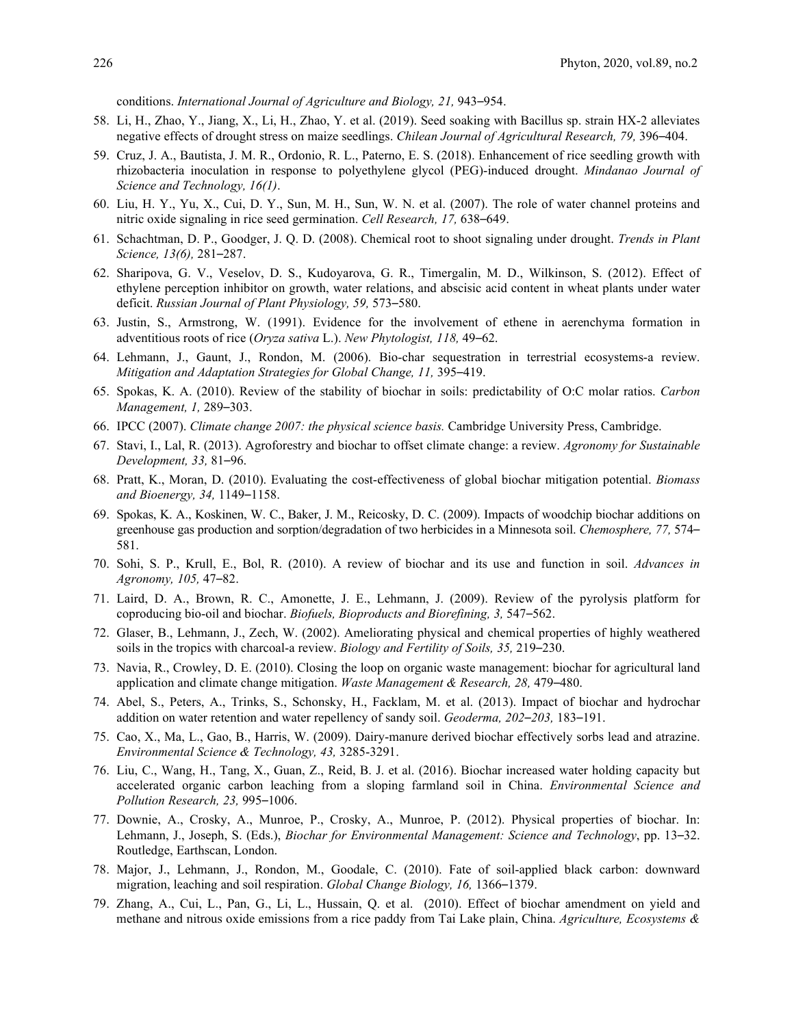conditions. *International Journal of Agriculture and Biology, 21,* 943–954.

- 58. Li, H., Zhao, Y., Jiang, X., Li, H., Zhao, Y. et al. (2019). Seed soaking with Bacillus sp. strain HX-2 alleviates negative effects of drought stress on maize seedlings. *Chilean Journal of Agricultural Research, 79,* 396–404.
- 59. Cruz, J. A., Bautista, J. M. R., Ordonio, R. L., Paterno, E. S. (2018). Enhancement of rice seedling growth with rhizobacteria inoculation in response to polyethylene glycol (PEG)-induced drought. *Mindanao Journal of Science and Technology, 16(1)*.
- 60. Liu, H. Y., Yu, X., Cui, D. Y., Sun, M. H., Sun, W. N. et al. (2007). The role of water channel proteins and nitric oxide signaling in rice seed germination. *Cell Research, 17,* 638–649.
- 61. Schachtman, D. P., Goodger, J. Q. D. (2008). Chemical root to shoot signaling under drought. *Trends in Plant Science, 13(6),* 281–287.
- 62. Sharipova, G. V., Veselov, D. S., Kudoyarova, G. R., Timergalin, M. D., Wilkinson, S. (2012). Effect of ethylene perception inhibitor on growth, water relations, and abscisic acid content in wheat plants under water deficit. *Russian Journal of Plant Physiology, 59,* 573–580.
- 63. Justin, S., Armstrong, W. (1991). Evidence for the involvement of ethene in aerenchyma formation in adventitious roots of rice (*Oryza sativa* L.). *New Phytologist, 118,* 49–62.
- 64. Lehmann, J., Gaunt, J., Rondon, M. (2006). Bio-char sequestration in terrestrial ecosystems-a review. *Mitigation and Adaptation Strategies for Global Change, 11,* 395–419.
- 65. Spokas, K. A. (2010). Review of the stability of biochar in soils: predictability of O:C molar ratios. *Carbon Management, 1,* 289–303.
- 66. IPCC (2007). *Climate change 2007: the physical science basis.* Cambridge University Press, Cambridge.
- 67. Stavi, I., Lal, R. (2013). Agroforestry and biochar to offset climate change: a review. *Agronomy for Sustainable Development, 33,* 81–96.
- 68. Pratt, K., Moran, D. (2010). Evaluating the cost-effectiveness of global biochar mitigation potential. *Biomass and Bioenergy, 34,* 1149–1158.
- 69. Spokas, K. A., Koskinen, W. C., Baker, J. M., Reicosky, D. C. (2009). Impacts of woodchip biochar additions on greenhouse gas production and sorption/degradation of two herbicides in a Minnesota soil. *Chemosphere, 77,* 574– 581.
- 70. Sohi, S. P., Krull, E., Bol, R. (2010). A review of biochar and its use and function in soil. *Advances in Agronomy, 105,* 47–82.
- 71. Laird, D. A., Brown, R. C., Amonette, J. E., Lehmann, J. (2009). Review of the pyrolysis platform for coproducing bio-oil and biochar. *Biofuels, Bioproducts and Biorefining, 3,* 547–562.
- 72. Glaser, B., Lehmann, J., Zech, W. (2002). Ameliorating physical and chemical properties of highly weathered soils in the tropics with charcoal-a review. *Biology and Fertility of Soils, 35,* 219–230.
- 73. Navia, R., Crowley, D. E. (2010). Closing the loop on organic waste management: biochar for agricultural land application and climate change mitigation. *Waste Management & Research, 28,* 479–480.
- 74. Abel, S., Peters, A., Trinks, S., Schonsky, H., Facklam, M. et al. (2013). Impact of biochar and hydrochar addition on water retention and water repellency of sandy soil. *Geoderma, 202*–*203,* 183–191.
- 75. Cao, X., Ma, L., Gao, B., Harris, W. (2009). Dairy-manure derived biochar effectively sorbs lead and atrazine. *Environmental Science & Technology, 43,* 3285-3291.
- 76. Liu, C., Wang, H., Tang, X., Guan, Z., Reid, B. J. et al. (2016). Biochar increased water holding capacity but accelerated organic carbon leaching from a sloping farmland soil in China. *Environmental Science and Pollution Research, 23,* 995–1006.
- 77. Downie, A., Crosky, A., Munroe, P., Crosky, A., Munroe, P. (2012). Physical properties of biochar. In: Lehmann, J., Joseph, S. (Eds.), *Biochar for Environmental Management: Science and Technology*, pp. 13–32. Routledge, Earthscan, London.
- 78. Major, J., Lehmann, J., Rondon, M., Goodale, C. (2010). Fate of soil-applied black carbon: downward migration, leaching and soil respiration. *Global Change Biology, 16,* 1366–1379.
- 79. Zhang, A., Cui, L., Pan, G., Li, L., Hussain, Q. et al. (2010). Effect of biochar amendment on yield and methane and nitrous oxide emissions from a rice paddy from Tai Lake plain, China. *Agriculture, Ecosystems &*